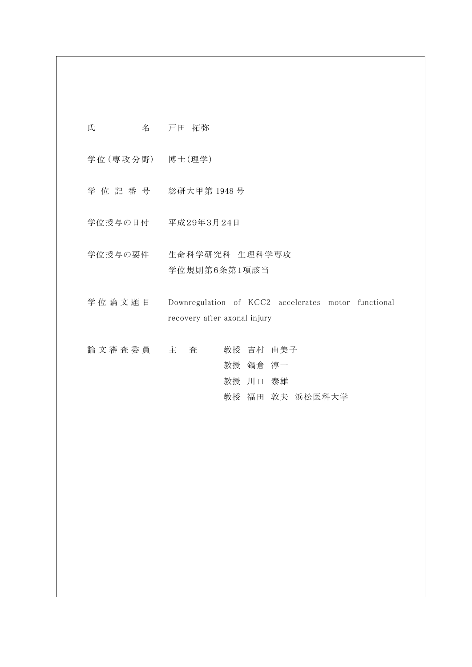氏 名 戸田 拓弥

学 位 (専 攻 分 野) 博士(理学)

学 位 記 番 号 総研大甲第 1948 号

学位授与の日付 平成29年3月24日

学位授与の要件 生命科学研究科 生理科学専攻 学位規則第6条第1項該当

学位論文題目 Downregulation of KCC2 accelerates motor functional recovery after axonal injury

論 文 審 査 委 員 主 查 者 教授 吉村 由美子 教授 鍋倉 淳一 教授 川口 泰雄 教授 福田 敦夫 浜松医科大学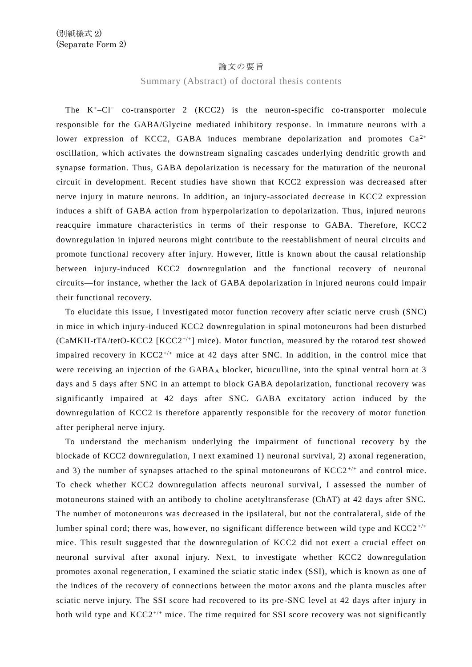## 論文の要旨

## Summary (Abstract) of doctoral thesis contents

The  $K^+$ –Cl<sup>−</sup> co-transporter 2 (KCC2) is the neuron-specific co-transporter molecule responsible for the GABA/Glycine mediated inhibitory response. In immature neurons with a lower expression of KCC2, GABA induces membrane depolarization and promotes  $Ca^{2+}$ oscillation, which activates the downstream signaling cascades underlying dendritic growth and synapse formation. Thus, GABA depolarization is necessary for the maturation of the neuronal circuit in development. Recent studies have shown that KCC2 expression was decrea sed after nerve injury in mature neurons. In addition, an injury-associated decrease in KCC2 expression induces a shift of GABA action from hyperpolarization to depolarization. Thus, injured neurons reacquire immature characteristics in terms of their response to GABA. Therefore, KCC2 downregulation in injured neurons might contribute to the reestablishment of neural circuits and promote functional recovery after injury. However, little is known about the causal relationship between injury-induced KCC2 downregulation and the functional recovery of neuronal circuits—for instance, whether the lack of GABA depolarization in injured neurons could impair their functional recovery.

To elucidate this issue, I investigated motor function recovery after sciatic nerve crush (SNC) in mice in which injury-induced KCC2 downregulation in spinal motoneurons had been disturbed  $(CaMKII-tTA/tetO-KCC2 [KCC2<sup>+/+</sup>] mice)$ . Motor function, measured by the rotarod test showed impaired recovery in  $KCC2^{+/+}$  mice at 42 days after SNC. In addition, in the control mice that were receiving an injection of the  $GABA_A$  blocker, bicuculline, into the spinal ventral horn at 3 days and 5 days after SNC in an attempt to block GABA depolarization, functional recovery was significantly impaired at 42 days after SNC. GABA excitatory action induced by the downregulation of KCC2 is therefore apparently responsible for the recovery of motor function after peripheral nerve injury.

To understand the mechanism underlying the impairment of functional recovery by the blockade of KCC2 downregulation, I next examined 1) neuronal survival, 2) axonal regeneration, and 3) the number of synapses attached to the spinal motoneurons of  $KCC2^{+/+}$  and control mice. To check whether KCC2 downregulation affects neuronal survival, I assessed the number of motoneurons stained with an antibody to choline acetyltransferase (ChAT) at 42 days after SNC. The number of motoneurons was decreased in the ipsilateral, but not the contralateral, side of the lumber spinal cord; there was, however, no significant difference between wild type and  $KCC2^{+/+}$ mice. This result suggested that the downregulation of KCC2 did not exert a crucial effect on neuronal survival after axonal injury. Next, to investigate whether KCC2 downregulation promotes axonal regeneration, I examined the sciatic static index (SSI), which is known as one of the indices of the recovery of connections between the motor axons and the planta muscles after sciatic nerve injury. The SSI score had recovered to its pre -SNC level at 42 days after injury in both wild type and  $KCC2^{+/+}$  mice. The time required for SSI score recovery was not significantly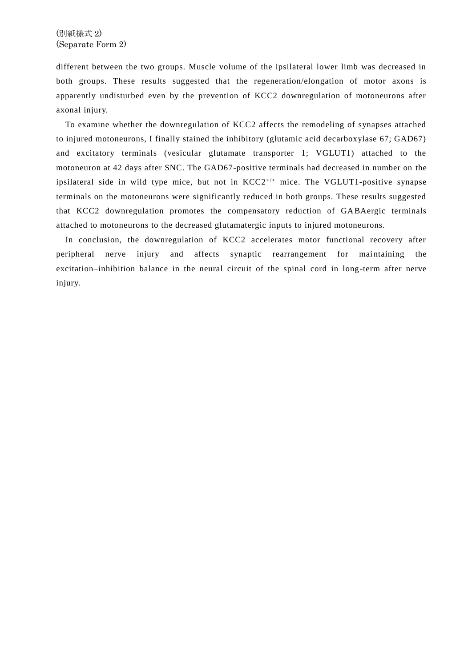different between the two groups. Muscle volume of the ipsilateral lower limb was decreased in both groups. These results suggested that the regeneration/elongation of motor axons is apparently undisturbed even by the prevention of KCC2 downregulation of motoneurons after axonal injury.

To examine whether the downregulation of KCC2 affects the remodeling of synapses attached to injured motoneurons, I finally stained the inhibitory (glutamic acid decarboxylase 67; GAD67) and excitatory terminals (vesicular glutamate transporter 1; VGLUT1) attached to the motoneuron at 42 days after SNC. The GAD67-positive terminals had decreased in number on the ipsilateral side in wild type mice, but not in KCC2<sup>+/+</sup> mice. The VGLUT1-positive synapse terminals on the motoneurons were significantly reduced in both groups. These results suggested that KCC2 downregulation promotes the compensatory reduction of GABAergic terminals attached to motoneurons to the decreased glutamatergic inputs to injured motoneurons.

In conclusion, the downregulation of KCC2 accelerates motor functional recovery after peripheral nerve injury and affects synaptic rearrangement for maintaining the excitation–inhibition balance in the neural circuit of the spinal cord in long -term after nerve injury.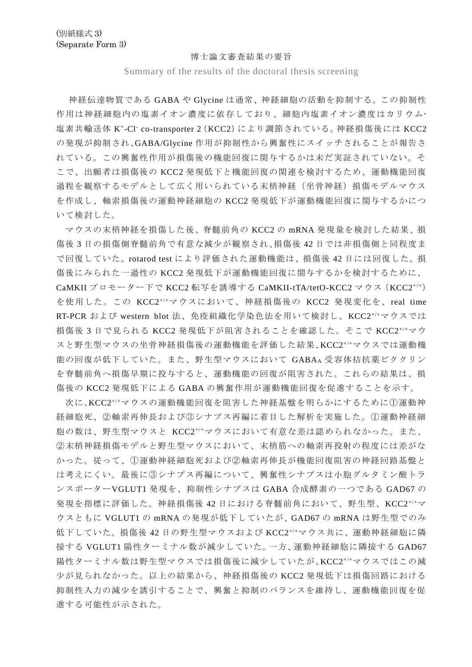## 博士論文審査結果の要旨

Summary of the results of the doctoral thesis screening

神経伝達物質である GABA や Glycine は通常、神経細胞の活動を抑制する。この抑制性 作用は神経細胞内の塩素イオン濃度に依存しており、細胞内塩素イオン濃度はカリウム-塩素共輸送体 K<sup>+</sup> -Cl- co-transporter 2(KCC2)により調節されている。神経損傷後には KCC2 の発現が抑制され、GABA/Glycine 作用が抑制性から興奮性にスイッチされることが報告さ れている。この興奮性作用が損傷後の機能回復に関与するかは未だ実証されていない。そ こで、出願者は損傷後の KCC2 発現低下と機能回復の関連を検討するため、運動機能回復 過程を観察するモデルとして広く用いられている末梢神経(坐骨神経)損傷モデルマウス を作成し、軸索損傷後の運動神経細胞の KCC2 発現低下が運動機能回復に関与するかにつ いて検討した。

マウスの末梢神経を損傷した後、脊髄前角の KCC2 の mRNA 発現量を検討した結果、損 傷後 3 日の損傷側脊髄前角で有意な減少が観察され、損傷後 42 日では非損傷側と同程度ま で回復していた。rotarod test により評価された運動機能は、損傷後 42 日には回復した。損 傷後にみられた一過性の KCC2 発現低下が運動機能回復に関与するかを検討するために、 CaMKII プロモーター下で KCC2 転写を誘導する CaMKII-tTA/tetO-KCC2 マウス(KCC2+/+) を使用した。この KCC2+/+マウスにおいて、神経損傷後の KCC2 発現変化を、real time RT-PCR および western blot 法、免疫組織化学染色法を用いて検討し、KCC2+/+マウスでは 損傷後 3 日で見られる KCC2 発現低下が阻害されることを確認した。そこで KCC2<sup>+/+</sup>マウ スと野生型マウスの坐骨神経損傷後の運動機能を評価した結果、KCC2+/+マウスでは運動機 能の回復が低下していた。また、野生型マウスにおいて GABAA 受容体拮抗薬ビククリン を脊髄前角へ損傷早期に投与すると、運動機能の回復が阻害された。これらの結果は、損 傷後の KCC2 発現低下による GABA の興奮作用が運動機能回復を促進することを示す。

次に、KCC2+/+マウスの運動機能回復を阻害した神経基盤を明らかにするために①運動神 経細胞死、②軸索再伸長および③シナプス再編に着目した解析を実施した。①運動神経細 胞の数は、野生型マウスと KCC2+/+マウスにおいて有意な差は認められなかった。また、 ②末梢神経損傷モデルと野生型マウスにおいて、末梢筋への軸索再投射の程度には差がな かった。従って、①運動神経細胞死および②軸索再伸長が機能回復阻害の神経回路基盤と は考えにくい。最後に③シナプス再編について、興奮性シナプスは小胞グルタミン酸トラ ンスポーターVGLUT1 発現を、抑制性シナプスは GABA 合成酵素の一つである GAD67 の 発現を指標に評価した。神経損傷後 42 日における脊髄前角において、野生型、KCC2+/+マ ウスともに VGLUT1 の mRNA の発現が低下していたが、GAD67 の mRNA は野生型でのみ 低下していた。損傷後 42 日の野生型マウスおよび KCC2+/+マウス共に、運動神経細胞に隣 接する VGLUT1 陽性ターミナル数が減少していた。一方、運動神経細胞に隣接する GAD67 陽性ターミナル数は野生型マウスでは損傷後に減少していたが、KCC2+/+マウスではこの減 少が見られなかった。以上の結果から、神経損傷後の KCC2 発現低下は損傷回路における 抑制性入力の減少を誘引することで、興奮と抑制のバランスを維持し、運動機能回復を促 進する可能性が示された。